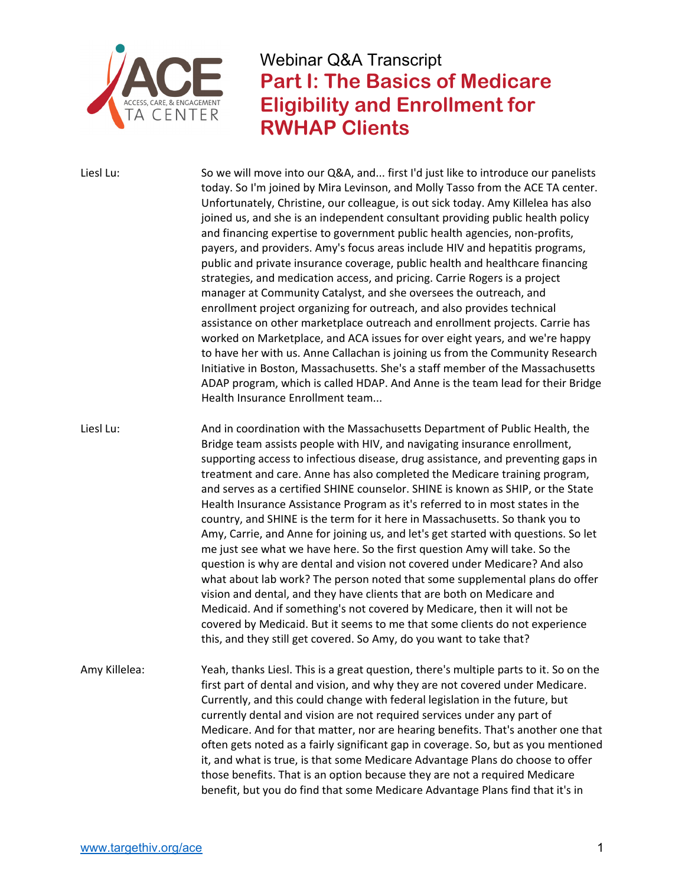

 Liesl Lu: So we will move into our Q&A, and... first I'd just like to introduce our panelists today. So I'm joined by Mira Levinson, and Molly Tasso from the ACE TA center. Unfortunately, Christine, our colleague, is out sick today. Amy Killelea has also joined us, and she is an independent consultant providing public health policy and financing expertise to government public health agencies, non‐profits, payers, and providers. Amy's focus areas include HIV and hepatitis programs, public and private insurance coverage, public health and healthcare financing strategies, and medication access, and pricing. Carrie Rogers is a project manager at Community Catalyst, and she oversees the outreach, and enrollment project organizing for outreach, and also provides technical assistance on other marketplace outreach and enrollment projects. Carrie has worked on Marketplace, and ACA issues for over eight years, and we're happy to have her with us. Anne Callachan is joining us from the Community Research Initiative in Boston, Massachusetts. She's a staff member of the Massachusetts ADAP program, which is called HDAP. And Anne is the team lead for their Bridge Health Insurance Enrollment team...

 Liesl Lu: And in coordination with the Massachusetts Department of Public Health, the Bridge team assists people with HIV, and navigating insurance enrollment, supporting access to infectious disease, drug assistance, and preventing gaps in treatment and care. Anne has also completed the Medicare training program, and serves as a certified SHINE counselor. SHINE is known as SHIP, or the State Health Insurance Assistance Program as it's referred to in most states in the country, and SHINE is the term for it here in Massachusetts. So thank you to Amy, Carrie, and Anne for joining us, and let's get started with questions. So let me just see what we have here. So the first question Amy will take. So the question is why are dental and vision not covered under Medicare? And also what about lab work? The person noted that some supplemental plans do offer vision and dental, and they have clients that are both on Medicare and Medicaid. And if something's not covered by Medicare, then it will not be covered by Medicaid. But it seems to me that some clients do not experience this, and they still get covered. So Amy, do you want to take that?

 Amy Killelea: Yeah, thanks Liesl. This is a great question, there's multiple parts to it. So on the first part of dental and vision, and why they are not covered under Medicare. Currently, and this could change with federal legislation in the future, but currently dental and vision are not required services under any part of Medicare. And for that matter, nor are hearing benefits. That's another one that often gets noted as a fairly significant gap in coverage. So, but as you mentioned it, and what is true, is that some Medicare Advantage Plans do choose to offer those benefits. That is an option because they are not a required Medicare benefit, but you do find that some Medicare Advantage Plans find that it's in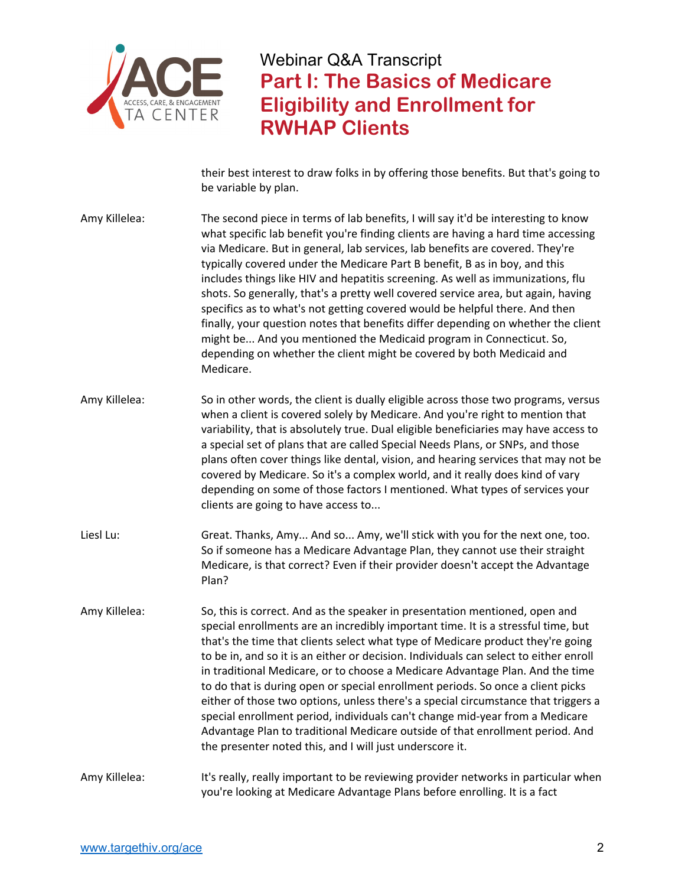

 their best interest to draw folks in by offering those benefits. But that's going to be variable by plan.

 Amy Killelea: The second piece in terms of lab benefits, I will say it'd be interesting to know what specific lab benefit you're finding clients are having a hard time accessing via Medicare. But in general, lab services, lab benefits are covered. They're typically covered under the Medicare Part B benefit, B as in boy, and this includes things like HIV and hepatitis screening. As well as immunizations, flu shots. So generally, that's a pretty well covered service area, but again, having specifics as to what's not getting covered would be helpful there. And then finally, your question notes that benefits differ depending on whether the client might be... And you mentioned the Medicaid program in Connecticut. So, depending on whether the client might be covered by both Medicaid and Medicare.

- Amy Killelea: So in other words, the client is dually eligible across those two programs, versus when a client is covered solely by Medicare. And you're right to mention that variability, that is absolutely true. Dual eligible beneficiaries may have access to a special set of plans that are called Special Needs Plans, or SNPs, and those plans often cover things like dental, vision, and hearing services that may not be covered by Medicare. So it's a complex world, and it really does kind of vary depending on some of those factors I mentioned. What types of services your clients are going to have access to...
- Liesl Lu: Great. Thanks, Amy... And so... Amy, we'll stick with you for the next one, too. So if someone has a Medicare Advantage Plan, they cannot use their straight Medicare, is that correct? Even if their provider doesn't accept the Advantage Plan?
- Amy Killelea: So, this is correct. And as the speaker in presentation mentioned, open and special enrollments are an incredibly important time. It is a stressful time, but that's the time that clients select what type of Medicare product they're going to be in, and so it is an either or decision. Individuals can select to either enroll in traditional Medicare, or to choose a Medicare Advantage Plan. And the time to do that is during open or special enrollment periods. So once a client picks either of those two options, unless there's a special circumstance that triggers a special enrollment period, individuals can't change mid‐year from a Medicare Advantage Plan to traditional Medicare outside of that enrollment period. And the presenter noted this, and I will just underscore it.

## Amy Killelea: It's really, really important to be reviewing provider networks in particular when you're looking at Medicare Advantage Plans before enrolling. It is a fact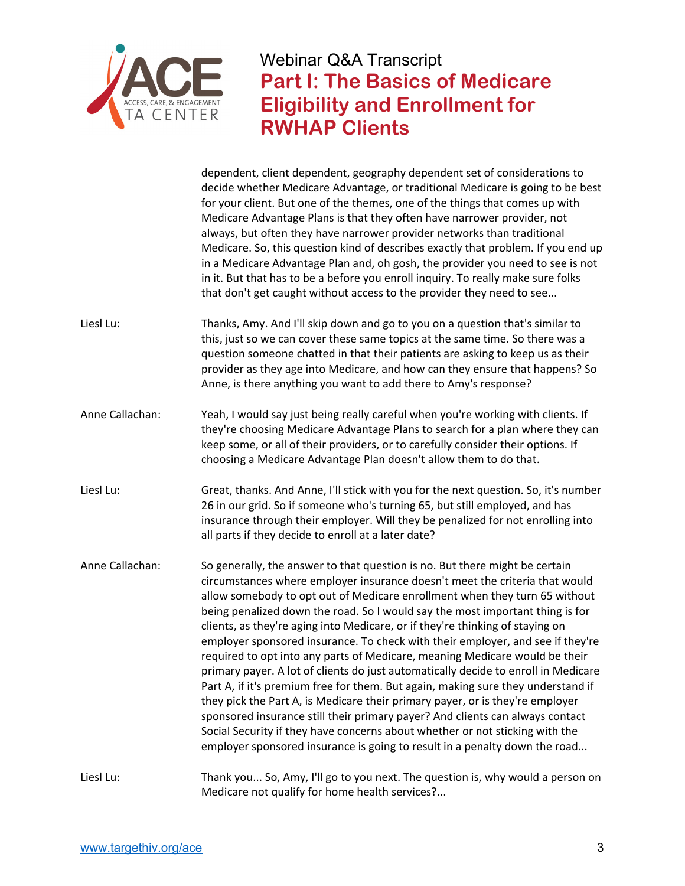

dependent, client dependent, geography dependent set of considerations to

 decide whether Medicare Advantage, or traditional Medicare is going to be best for your client. But one of the themes, one of the things that comes up with Medicare Advantage Plans is that they often have narrower provider, not always, but often they have narrower provider networks than traditional Medicare. So, this question kind of describes exactly that problem. If you end up in a Medicare Advantage Plan and, oh gosh, the provider you need to see is not in it. But that has to be a before you enroll inquiry. To really make sure folks that don't get caught without access to the provider they need to see... Liesl Lu: Thanks, Amy. And I'll skip down and go to you on a question that's similar to this, just so we can cover these same topics at the same time. So there was a question someone chatted in that their patients are asking to keep us as their provider as they age into Medicare, and how can they ensure that happens? So Anne, is there anything you want to add there to Amy's response? Anne Callachan: Yeah, I would say just being really careful when you're working with clients. If they're choosing Medicare Advantage Plans to search for a plan where they can keep some, or all of their providers, or to carefully consider their options. If choosing a Medicare Advantage Plan doesn't allow them to do that. Liesl Lu: Great, thanks. And Anne, I'll stick with you for the next question. So, it's number 26 in our grid. So if someone who's turning 65, but still employed, and has insurance through their employer. Will they be penalized for not enrolling into all parts if they decide to enroll at a later date? Anne Callachan: So generally, the answer to that question is no. But there might be certain circumstances where employer insurance doesn't meet the criteria that would allow somebody to opt out of Medicare enrollment when they turn 65 without being penalized down the road. So I would say the most important thing is for clients, as they're aging into Medicare, or if they're thinking of staying on employer sponsored insurance. To check with their employer, and see if they're required to opt into any parts of Medicare, meaning Medicare would be their primary payer. A lot of clients do just automatically decide to enroll in Medicare Part A, if it's premium free for them. But again, making sure they understand if they pick the Part A, is Medicare their primary payer, or is they're employer sponsored insurance still their primary payer? And clients can always contact Social Security if they have concerns about whether or not sticking with the employer sponsored insurance is going to result in a penalty down the road... Liesl Lu: Thank you... So, Amy, I'll go to you next. The question is, why would a person on

Medicare not qualify for home health services?...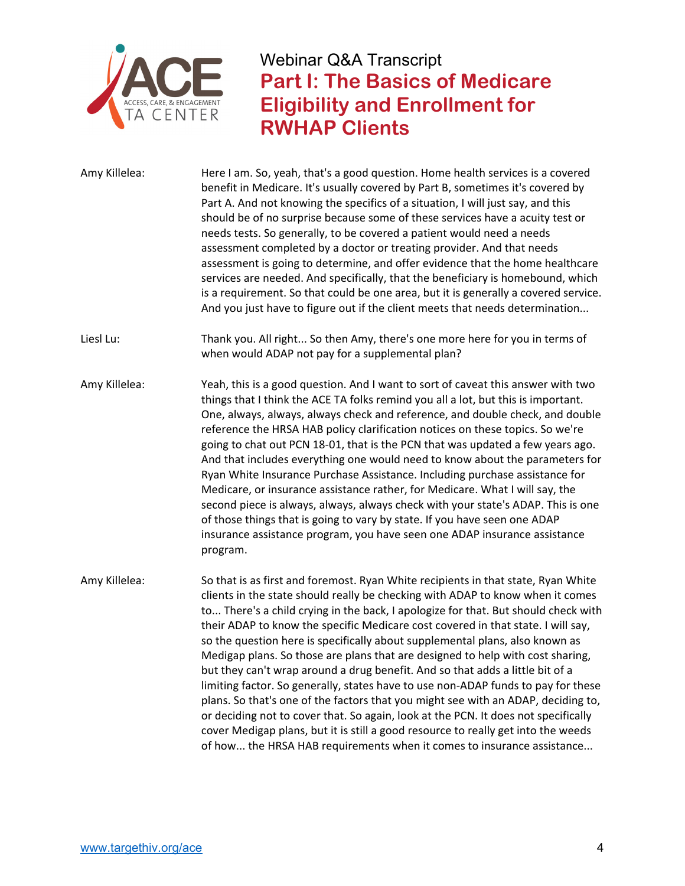

Amy Killelea: Here I am. So, yeah, that's a good question. Home health services is a covered benefit in Medicare. It's usually covered by Part B, sometimes it's covered by Part A. And not knowing the specifics of a situation, I will just say, and this should be of no surprise because some of these services have a acuity test or needs tests. So generally, to be covered a patient would need a needs assessment completed by a doctor or treating provider. And that needs assessment is going to determine, and offer evidence that the home healthcare services are needed. And specifically, that the beneficiary is homebound, which is a requirement. So that could be one area, but it is generally a covered service. And you just have to figure out if the client meets that needs determination... Liesl Lu: Thank you. All right... So then Amy, there's one more here for you in terms of when would ADAP not pay for a supplemental plan? Amy Killelea: Yeah, this is a good question. And I want to sort of caveat this answer with two things that I think the ACE TA folks remind you all a lot, but this is important. One, always, always, always check and reference, and double check, and double reference the HRSA HAB policy clarification notices on these topics. So we're going to chat out PCN 18‐01, that is the PCN that was updated a few years ago. And that includes everything one would need to know about the parameters for Ryan White Insurance Purchase Assistance. Including purchase assistance for Medicare, or insurance assistance rather, for Medicare. What I will say, the second piece is always, always, always check with your state's ADAP. This is one of those things that is going to vary by state. If you have seen one ADAP insurance assistance program, you have seen one ADAP insurance assistance Amy Killelea: So that is as first and foremost. Ryan White recipients in that state, Ryan White clients in the state should really be checking with ADAP to know when it comes to... There's a child crying in the back, I apologize for that. But should check with their ADAP to know the specific Medicare cost covered in that state. I will say, so the question here is specifically about supplemental plans, also known as Medigap plans. So those are plans that are designed to help with cost sharing, but they can't wrap around a drug benefit. And so that adds a little bit of a limiting factor. So generally, states have to use non‐ADAP funds to pay for these plans. So that's one of the factors that you might see with an ADAP, deciding to, or deciding not to cover that. So again, look at the PCN. It does not specifically cover Medigap plans, but it is still a good resource to really get into the weeds program.

of how... the HRSA HAB requirements when it comes to insurance assistance...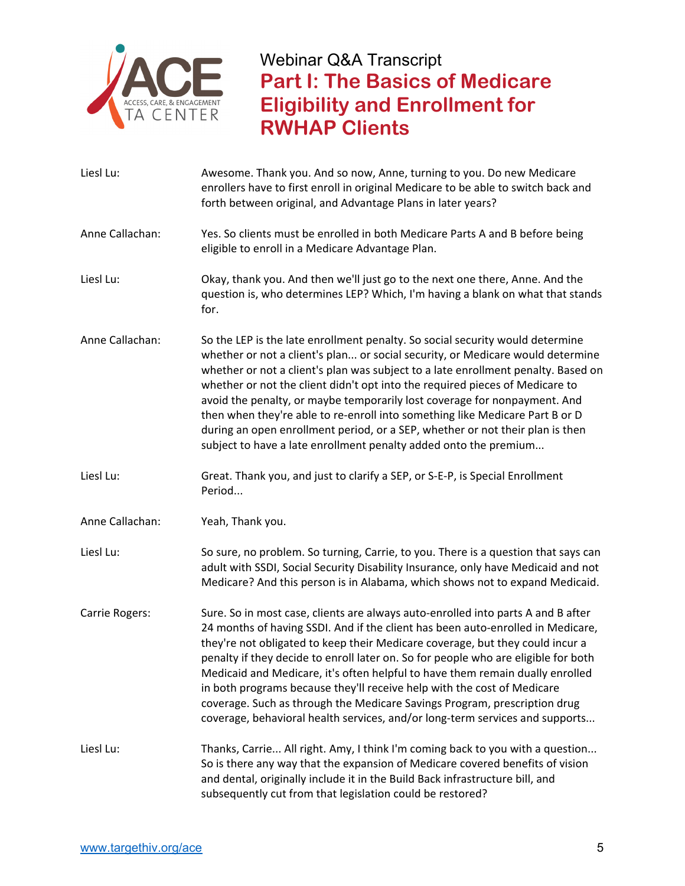

| Liesl Lu:       | Awesome. Thank you. And so now, Anne, turning to you. Do new Medicare<br>enrollers have to first enroll in original Medicare to be able to switch back and<br>forth between original, and Advantage Plans in later years?                                                                                                                                                                                                                                                                                                                                                                                                                                           |
|-----------------|---------------------------------------------------------------------------------------------------------------------------------------------------------------------------------------------------------------------------------------------------------------------------------------------------------------------------------------------------------------------------------------------------------------------------------------------------------------------------------------------------------------------------------------------------------------------------------------------------------------------------------------------------------------------|
| Anne Callachan: | Yes. So clients must be enrolled in both Medicare Parts A and B before being<br>eligible to enroll in a Medicare Advantage Plan.                                                                                                                                                                                                                                                                                                                                                                                                                                                                                                                                    |
| Liesl Lu:       | Okay, thank you. And then we'll just go to the next one there, Anne. And the<br>question is, who determines LEP? Which, I'm having a blank on what that stands<br>for.                                                                                                                                                                                                                                                                                                                                                                                                                                                                                              |
| Anne Callachan: | So the LEP is the late enrollment penalty. So social security would determine<br>whether or not a client's plan or social security, or Medicare would determine<br>whether or not a client's plan was subject to a late enrollment penalty. Based on<br>whether or not the client didn't opt into the required pieces of Medicare to<br>avoid the penalty, or maybe temporarily lost coverage for nonpayment. And<br>then when they're able to re-enroll into something like Medicare Part B or D<br>during an open enrollment period, or a SEP, whether or not their plan is then<br>subject to have a late enrollment penalty added onto the premium              |
| Liesl Lu:       | Great. Thank you, and just to clarify a SEP, or S-E-P, is Special Enrollment<br>Period                                                                                                                                                                                                                                                                                                                                                                                                                                                                                                                                                                              |
| Anne Callachan: | Yeah, Thank you.                                                                                                                                                                                                                                                                                                                                                                                                                                                                                                                                                                                                                                                    |
| Liesl Lu:       | So sure, no problem. So turning, Carrie, to you. There is a question that says can<br>adult with SSDI, Social Security Disability Insurance, only have Medicaid and not<br>Medicare? And this person is in Alabama, which shows not to expand Medicaid.                                                                                                                                                                                                                                                                                                                                                                                                             |
| Carrie Rogers:  | Sure. So in most case, clients are always auto-enrolled into parts A and B after<br>24 months of having SSDI. And if the client has been auto-enrolled in Medicare,<br>they're not obligated to keep their Medicare coverage, but they could incur a<br>penalty if they decide to enroll later on. So for people who are eligible for both<br>Medicaid and Medicare, it's often helpful to have them remain dually enrolled<br>in both programs because they'll receive help with the cost of Medicare<br>coverage. Such as through the Medicare Savings Program, prescription drug<br>coverage, behavioral health services, and/or long-term services and supports |
| Liesl Lu:       | Thanks, Carrie All right. Amy, I think I'm coming back to you with a question<br>So is there any way that the expansion of Medicare covered benefits of vision<br>and dental, originally include it in the Build Back infrastructure bill, and<br>subsequently cut from that legislation could be restored?                                                                                                                                                                                                                                                                                                                                                         |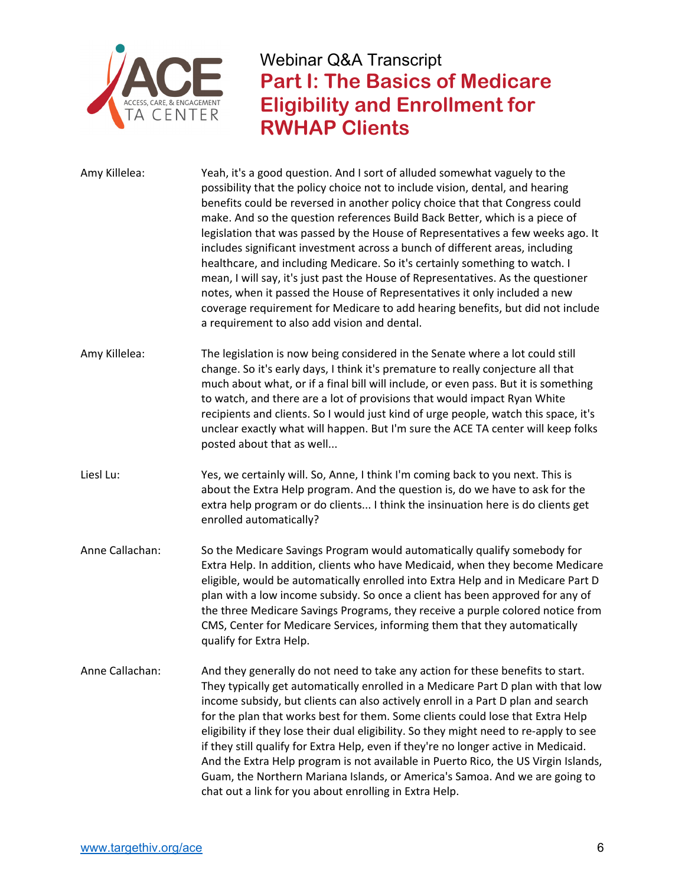

 Amy Killelea: Yeah, it's a good question. And I sort of alluded somewhat vaguely to the possibility that the policy choice not to include vision, dental, and hearing benefits could be reversed in another policy choice that that Congress could make. And so the question references Build Back Better, which is a piece of legislation that was passed by the House of Representatives a few weeks ago. It includes significant investment across a bunch of different areas, including healthcare, and including Medicare. So it's certainly something to watch. I mean, I will say, it's just past the House of Representatives. As the questioner notes, when it passed the House of Representatives it only included a new coverage requirement for Medicare to add hearing benefits, but did not include a requirement to also add vision and dental. Amy Killelea: The legislation is now being considered in the Senate where a lot could still change. So it's early days, I think it's premature to really conjecture all that much about what, or if a final bill will include, or even pass. But it is something to watch, and there are a lot of provisions that would impact Ryan White recipients and clients. So I would just kind of urge people, watch this space, it's unclear exactly what will happen. But I'm sure the ACE TA center will keep folks posted about that as well... Liesl Lu: Yes, we certainly will. So, Anne, I think I'm coming back to you next. This is about the Extra Help program. And the question is, do we have to ask for the extra help program or do clients... I think the insinuation here is do clients get Anne Callachan: So the Medicare Savings Program would automatically qualify somebody for enrolled automatically?

- Extra Help. In addition, clients who have Medicaid, when they become Medicare eligible, would be automatically enrolled into Extra Help and in Medicare Part D plan with a low income subsidy. So once a client has been approved for any of the three Medicare Savings Programs, they receive a purple colored notice from CMS, Center for Medicare Services, informing them that they automatically qualify for Extra Help.
- Anne Callachan: And they generally do not need to take any action for these benefits to start. They typically get automatically enrolled in a Medicare Part D plan with that low income subsidy, but clients can also actively enroll in a Part D plan and search for the plan that works best for them. Some clients could lose that Extra Help eligibility if they lose their dual eligibility. So they might need to re‐apply to see if they still qualify for Extra Help, even if they're no longer active in Medicaid. And the Extra Help program is not available in Puerto Rico, the US Virgin Islands, Guam, the Northern Mariana Islands, or America's Samoa. And we are going to chat out a link for you about enrolling in Extra Help.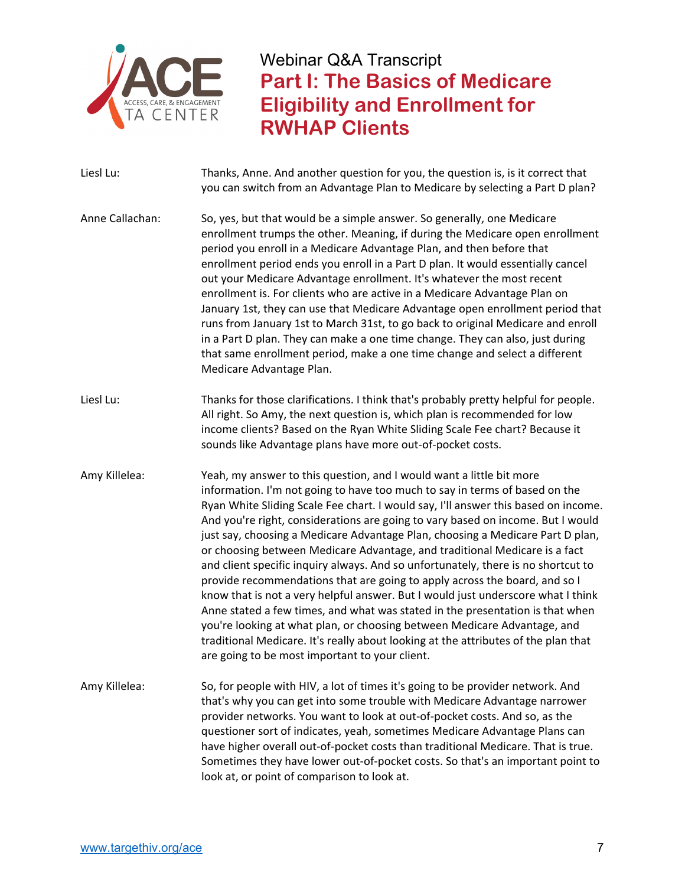

 Liesl Lu: Thanks, Anne. And another question for you, the question is, is it correct that you can switch from an Advantage Plan to Medicare by selecting a Part D plan? Anne Callachan: So, yes, but that would be a simple answer. So generally, one Medicare enrollment trumps the other. Meaning, if during the Medicare open enrollment period you enroll in a Medicare Advantage Plan, and then before that enrollment period ends you enroll in a Part D plan. It would essentially cancel out your Medicare Advantage enrollment. It's whatever the most recent enrollment is. For clients who are active in a Medicare Advantage Plan on January 1st, they can use that Medicare Advantage open enrollment period that runs from January 1st to March 31st, to go back to original Medicare and enroll in a Part D plan. They can make a one time change. They can also, just during that same enrollment period, make a one time change and select a different Medicare Advantage Plan. Liesl Lu: Thanks for those clarifications. I think that's probably pretty helpful for people. All right. So Amy, the next question is, which plan is recommended for low income clients? Based on the Ryan White Sliding Scale Fee chart? Because it sounds like Advantage plans have more out‐of‐pocket costs. Amy Killelea: Yeah, my answer to this question, and I would want a little bit more information. I'm not going to have too much to say in terms of based on the Ryan White Sliding Scale Fee chart. I would say, I'll answer this based on income. And you're right, considerations are going to vary based on income. But I would just say, choosing a Medicare Advantage Plan, choosing a Medicare Part D plan, or choosing between Medicare Advantage, and traditional Medicare is a fact and client specific inquiry always. And so unfortunately, there is no shortcut to provide recommendations that are going to apply across the board, and so I know that is not a very helpful answer. But I would just underscore what I think Anne stated a few times, and what was stated in the presentation is that when you're looking at what plan, or choosing between Medicare Advantage, and traditional Medicare. It's really about looking at the attributes of the plan that are going to be most important to your client. Amy Killelea: So, for people with HIV, a lot of times it's going to be provider network. And that's why you can get into some trouble with Medicare Advantage narrower provider networks. You want to look at out‐of‐pocket costs. And so, as the questioner sort of indicates, yeah, sometimes Medicare Advantage Plans can have higher overall out‐of‐pocket costs than traditional Medicare. That is true. Sometimes they have lower out‐of‐pocket costs. So that's an important point to look at, or point of comparison to look at.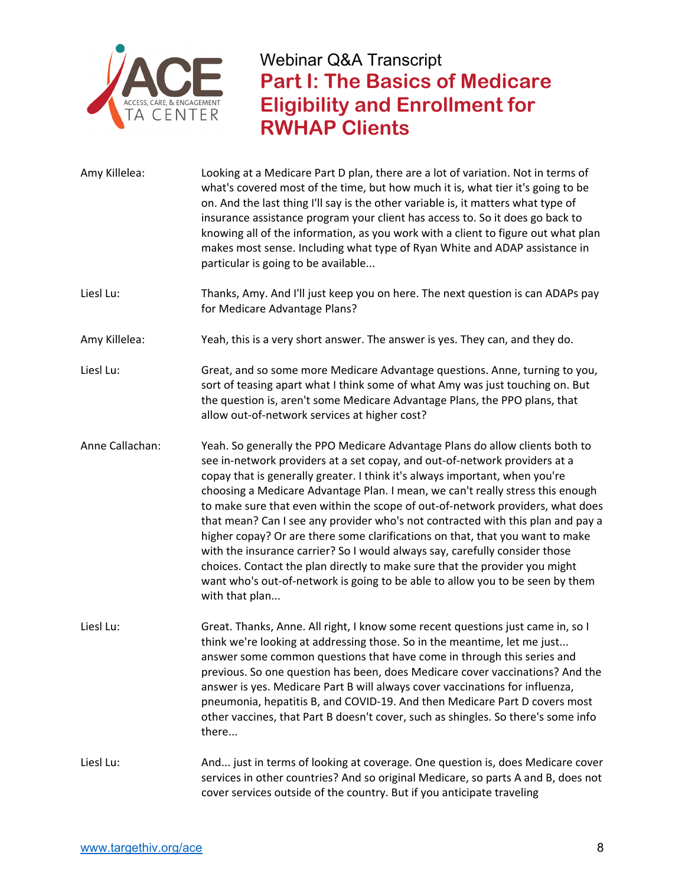

 Amy Killelea: Looking at a Medicare Part D plan, there are a lot of variation. Not in terms of what's covered most of the time, but how much it is, what tier it's going to be on. And the last thing I'll say is the other variable is, it matters what type of insurance assistance program your client has access to. So it does go back to knowing all of the information, as you work with a client to figure out what plan makes most sense. Including what type of Ryan White and ADAP assistance in particular is going to be available... Liesl Lu: Thanks, Amy. And I'll just keep you on here. The next question is can ADAPs pay for Medicare Advantage Plans? Amy Killelea: Yeah, this is a very short answer. The answer is yes. They can, and they do. Liesl Lu: Great, and so some more Medicare Advantage questions. Anne, turning to you, sort of teasing apart what I think some of what Amy was just touching on. But the question is, aren't some Medicare Advantage Plans, the PPO plans, that allow out‐of‐network services at higher cost? Anne Callachan: Yeah. So generally the PPO Medicare Advantage Plans do allow clients both to see in‐network providers at a set copay, and out‐of‐network providers at a copay that is generally greater. I think it's always important, when you're choosing a Medicare Advantage Plan. I mean, we can't really stress this enough to make sure that even within the scope of out‐of‐network providers, what does that mean? Can I see any provider who's not contracted with this plan and pay a higher copay? Or are there some clarifications on that, that you want to make with the insurance carrier? So I would always say, carefully consider those choices. Contact the plan directly to make sure that the provider you might want who's out‐of‐network is going to be able to allow you to be seen by them with that plan... Liesl Lu: Great. Thanks, Anne. All right, I know some recent questions just came in, so I think we're looking at addressing those. So in the meantime, let me just... answer some common questions that have come in through this series and previous. So one question has been, does Medicare cover vaccinations? And the answer is yes. Medicare Part B will always cover vaccinations for influenza, pneumonia, hepatitis B, and COVID‐19. And then Medicare Part D covers most other vaccines, that Part B doesn't cover, such as shingles. So there's some info Liesl Lu: And... just in terms of looking at coverage. One question is, does Medicare cover services in other countries? And so original Medicare, so parts A and B, does not there...

cover services outside of the country. But if you anticipate traveling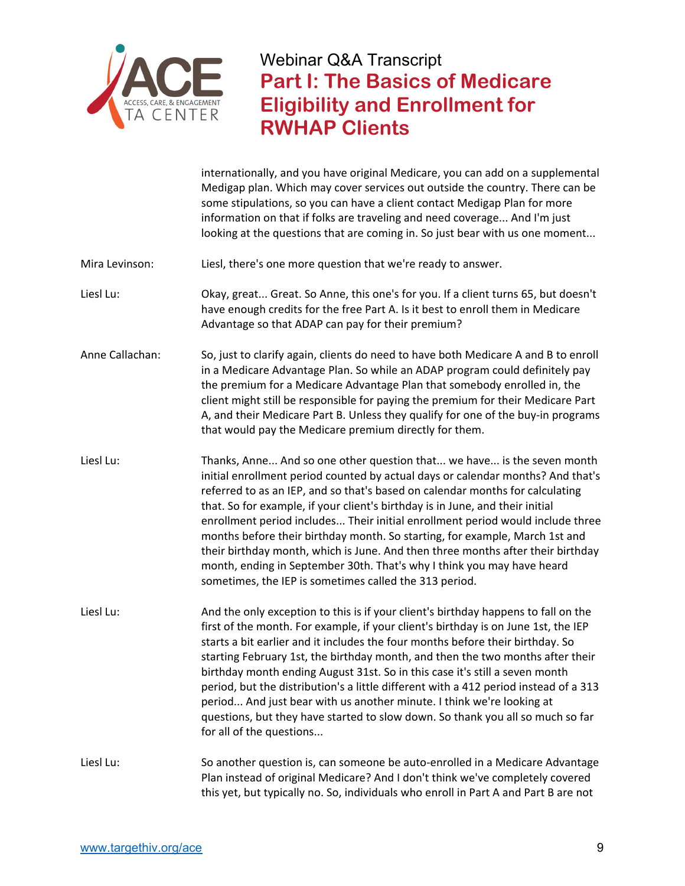

 internationally, and you have original Medicare, you can add on a supplemental Medigap plan. Which may cover services out outside the country. There can be some stipulations, so you can have a client contact Medigap Plan for more information on that if folks are traveling and need coverage... And I'm just looking at the questions that are coming in. So just bear with us one moment...

- Mira Levinson: Liesl, there's one more question that we're ready to answer.
- Liesl Lu: Okay, great... Great. So Anne, this one's for you. If a client turns 65, but doesn't have enough credits for the free Part A. Is it best to enroll them in Medicare Advantage so that ADAP can pay for their premium?
- Anne Callachan: So, just to clarify again, clients do need to have both Medicare A and B to enroll in a Medicare Advantage Plan. So while an ADAP program could definitely pay the premium for a Medicare Advantage Plan that somebody enrolled in, the client might still be responsible for paying the premium for their Medicare Part A, and their Medicare Part B. Unless they qualify for one of the buy‐in programs that would pay the Medicare premium directly for them.
- Liesl Lu: Thanks, Anne... And so one other question that... we have... is the seven month initial enrollment period counted by actual days or calendar months? And that's referred to as an IEP, and so that's based on calendar months for calculating that. So for example, if your client's birthday is in June, and their initial enrollment period includes... Their initial enrollment period would include three months before their birthday month. So starting, for example, March 1st and their birthday month, which is June. And then three months after their birthday month, ending in September 30th. That's why I think you may have heard sometimes, the IEP is sometimes called the 313 period.
- Liesl Lu: And the only exception to this is if your client's birthday happens to fall on the first of the month. For example, if your client's birthday is on June 1st, the IEP starts a bit earlier and it includes the four months before their birthday. So starting February 1st, the birthday month, and then the two months after their birthday month ending August 31st. So in this case it's still a seven month period, but the distribution's a little different with a 412 period instead of a 313 period... And just bear with us another minute. I think we're looking at questions, but they have started to slow down. So thank you all so much so far for all of the questions...
- Liesl Lu: So another question is, can someone be auto-enrolled in a Medicare Advantage Plan instead of original Medicare? And I don't think we've completely covered this yet, but typically no. So, individuals who enroll in Part A and Part B are not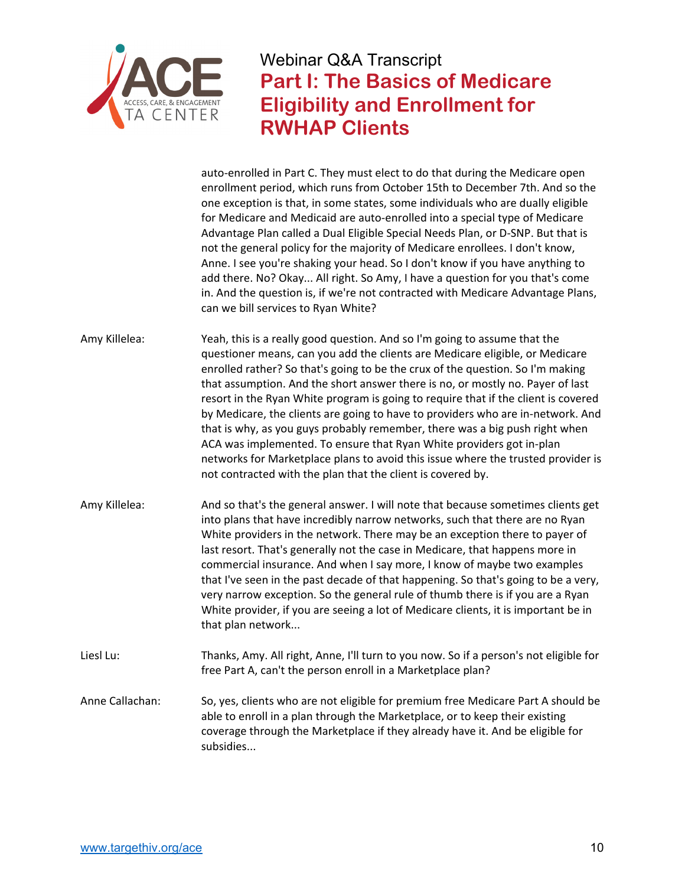

auto-enrolled in Part C. They must elect to do that during the Medicare open enrollment period, which runs from October 15th to December 7th. And so the one exception is that, in some states, some individuals who are dually eligible for Medicare and Medicaid are auto‐enrolled into a special type of Medicare Advantage Plan called a Dual Eligible Special Needs Plan, or D‐SNP. But that is not the general policy for the majority of Medicare enrollees. I don't know, Anne. I see you're shaking your head. So I don't know if you have anything to add there. No? Okay... All right. So Amy, I have a question for you that's come in. And the question is, if we're not contracted with Medicare Advantage Plans, can we bill services to Ryan White?

 Amy Killelea: Yeah, this is a really good question. And so I'm going to assume that the questioner means, can you add the clients are Medicare eligible, or Medicare enrolled rather? So that's going to be the crux of the question. So I'm making that assumption. And the short answer there is no, or mostly no. Payer of last resort in the Ryan White program is going to require that if the client is covered by Medicare, the clients are going to have to providers who are in‐network. And that is why, as you guys probably remember, there was a big push right when ACA was implemented. To ensure that Ryan White providers got in‐plan networks for Marketplace plans to avoid this issue where the trusted provider is not contracted with the plan that the client is covered by.

Amy Killelea: And so that's the general answer. I will note that because sometimes clients get into plans that have incredibly narrow networks, such that there are no Ryan White providers in the network. There may be an exception there to payer of last resort. That's generally not the case in Medicare, that happens more in commercial insurance. And when I say more, I know of maybe two examples that I've seen in the past decade of that happening. So that's going to be a very, very narrow exception. So the general rule of thumb there is if you are a Ryan White provider, if you are seeing a lot of Medicare clients, it is important be in that plan network...

 Liesl Lu: Thanks, Amy. All right, Anne, I'll turn to you now. So if a person's not eligible for free Part A, can't the person enroll in a Marketplace plan?

 Anne Callachan: So, yes, clients who are not eligible for premium free Medicare Part A should be able to enroll in a plan through the Marketplace, or to keep their existing coverage through the Marketplace if they already have it. And be eligible for subsidies...